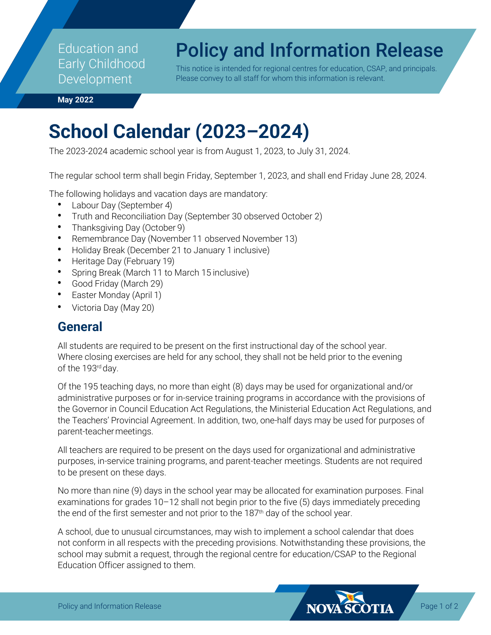Education and Early Childhood Development

# Policy and Information Release

This notice is intended for regional centres for education, CSAP, and principals. Please convey to all staff for whom this information is relevant.

**May 2022**

# **School Calendar (2023–2024)**

The 2023-2024 academic school year is from August 1, 2023, to July 31, 2024.

The regular school term shall begin Friday, September 1, 2023, and shall end Friday June 28, 2024.

The following holidays and vacation days are mandatory:

- **•** Labour Day (September 4)
- **•** Truth and Reconciliation Day (September 30 observed October 2)
- **•** Thanksgiving Day (October 9)
- **•** Remembrance Day (November 11 observed November 13)
- **•** Holiday Break (December 21 to January 1 inclusive)
- **•** Heritage Day (February 19)
- **•** Spring Break (March 11 to March 15 inclusive)
- **•** Good Friday (March 29)
- **•** Easter Monday (April 1)
- **•** Victoria Day (May 20)

### **General**

All students are required to be present on the first instructional day of the school year. Where closing exercises are held for any school, they shall not be held prior to the evening of the 193rd day.

Of the 195 teaching days, no more than eight (8) days may be used for organizational and/or administrative purposes or for in-service training programs in accordance with the provisions of the Governor in Council Education Act Regulations, the Ministerial Education Act Regulations, and the Teachers' Provincial Agreement. In addition, two, one-half days may be used for purposes of parent-teachermeetings.

All teachers are required to be present on the days used for organizational and administrative purposes, in-service training programs, and parent-teacher meetings. Students are not required to be present on these days.

No more than nine (9) days in the school year may be allocated for examination purposes. Final examinations for grades 10–12 shall not begin prior to the five (5) days immediately preceding the end of the first semester and not prior to the  $187<sup>th</sup>$  day of the school year.

A school, due to unusual circumstances, may wish to implement a school calendar that does not conform in all respects with the preceding provisions. Notwithstanding these provisions, the school may submit a request, through the regional centre for education/CSAP to the Regional Education Officer assigned to them.